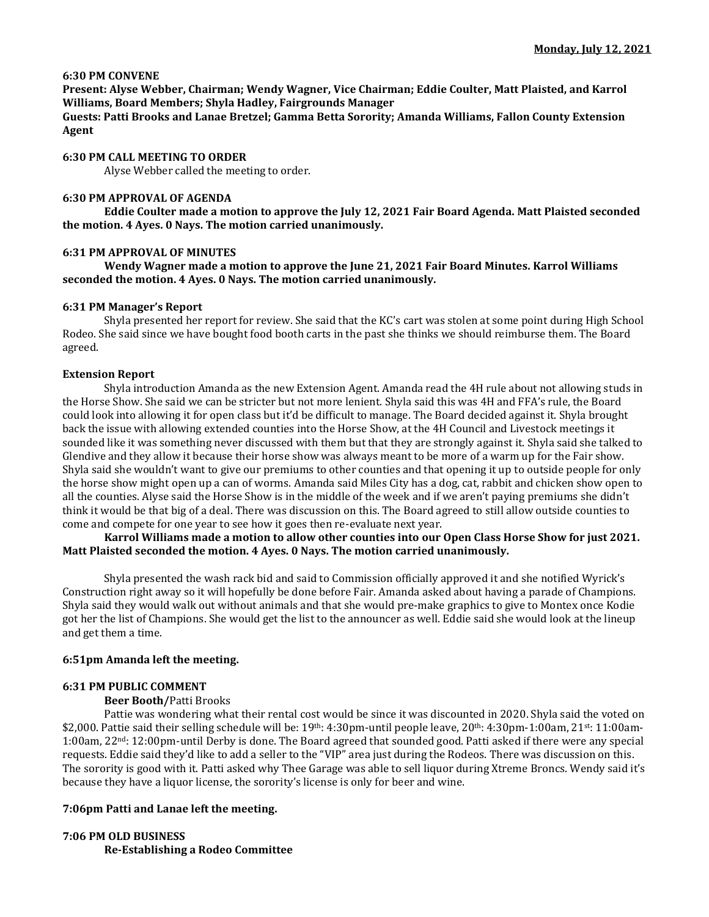## **6:30 PM CONVENE**

**Present: Alyse Webber, Chairman; Wendy Wagner, Vice Chairman; Eddie Coulter, Matt Plaisted, and Karrol Williams, Board Members; Shyla Hadley, Fairgrounds Manager**

**Guests: Patti Brooks and Lanae Bretzel; Gamma Betta Sorority; Amanda Williams, Fallon County Extension Agent**

### **6:30 PM CALL MEETING TO ORDER**

Alyse Webber called the meeting to order.

### **6:30 PM APPROVAL OF AGENDA**

**Eddie Coulter made a motion to approve the July 12, 2021 Fair Board Agenda. Matt Plaisted seconded the motion. 4 Ayes. 0 Nays. The motion carried unanimously.** 

### **6:31 PM APPROVAL OF MINUTES**

**Wendy Wagner made a motion to approve the June 21, 2021 Fair Board Minutes. Karrol Williams seconded the motion. 4 Ayes. 0 Nays. The motion carried unanimously.**

### **6:31 PM Manager's Report**

Shyla presented her report for review. She said that the KC's cart was stolen at some point during High School Rodeo. She said since we have bought food booth carts in the past she thinks we should reimburse them. The Board agreed.

### **Extension Report**

Shyla introduction Amanda as the new Extension Agent. Amanda read the 4H rule about not allowing studs in the Horse Show. She said we can be stricter but not more lenient. Shyla said this was 4H and FFA's rule, the Board could look into allowing it for open class but it'd be difficult to manage. The Board decided against it. Shyla brought back the issue with allowing extended counties into the Horse Show, at the 4H Council and Livestock meetings it sounded like it was something never discussed with them but that they are strongly against it. Shyla said she talked to Glendive and they allow it because their horse show was always meant to be more of a warm up for the Fair show. Shyla said she wouldn't want to give our premiums to other counties and that opening it up to outside people for only the horse show might open up a can of worms. Amanda said Miles City has a dog, cat, rabbit and chicken show open to all the counties. Alyse said the Horse Show is in the middle of the week and if we aren't paying premiums she didn't think it would be that big of a deal. There was discussion on this. The Board agreed to still allow outside counties to come and compete for one year to see how it goes then re-evaluate next year.

## **Karrol Williams made a motion to allow other counties into our Open Class Horse Show for just 2021. Matt Plaisted seconded the motion. 4 Ayes. 0 Nays. The motion carried unanimously.**

Shyla presented the wash rack bid and said to Commission officially approved it and she notified Wyrick's Construction right away so it will hopefully be done before Fair. Amanda asked about having a parade of Champions. Shyla said they would walk out without animals and that she would pre-make graphics to give to Montex once Kodie got her the list of Champions. She would get the list to the announcer as well. Eddie said she would look at the lineup and get them a time.

## **6:51pm Amanda left the meeting.**

### **6:31 PM PUBLIC COMMENT**

## **Beer Booth/**Patti Brooks

Pattie was wondering what their rental cost would be since it was discounted in 2020. Shyla said the voted on \$2,000. Pattie said their selling schedule will be:  $19^{th}$ :  $4:30 \text{pm}$ -until people leave,  $20^{th}$ :  $4:30 \text{pm}$ - $1:00$ am,  $21^{st}$ :  $11:00$ am-1:00am, 22nd: 12:00pm-until Derby is done. The Board agreed that sounded good. Patti asked if there were any special requests. Eddie said they'd like to add a seller to the "VIP" area just during the Rodeos. There was discussion on this. The sorority is good with it. Patti asked why Thee Garage was able to sell liquor during Xtreme Broncs. Wendy said it's because they have a liquor license, the sorority's license is only for beer and wine.

## **7:06pm Patti and Lanae left the meeting.**

# **7:06 PM OLD BUSINESS Re-Establishing a Rodeo Committee**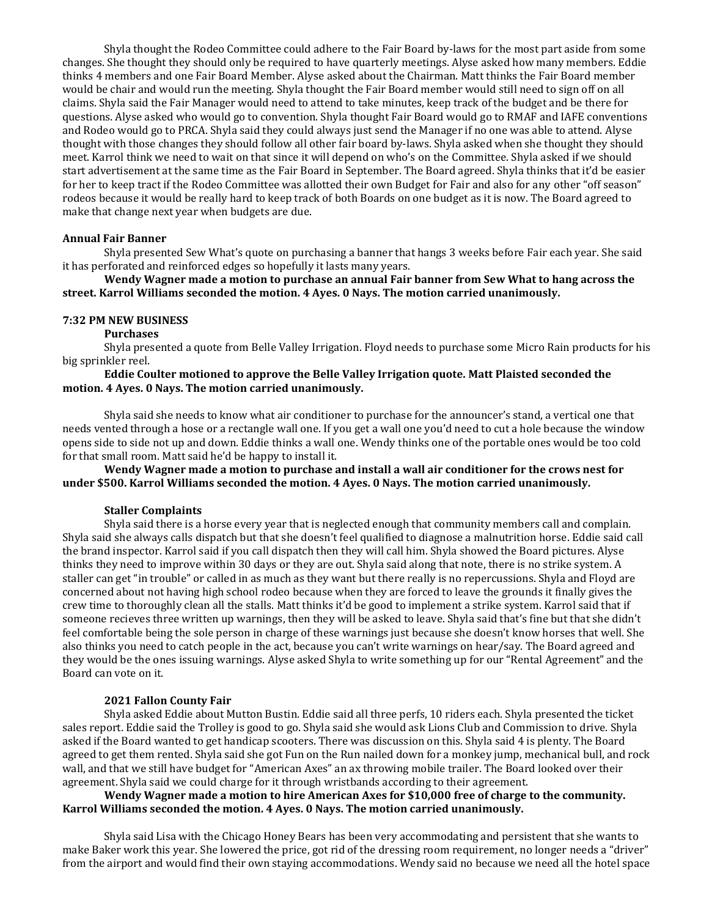Shyla thought the Rodeo Committee could adhere to the Fair Board by-laws for the most part aside from some changes. She thought they should only be required to have quarterly meetings. Alyse asked how many members. Eddie thinks 4 members and one Fair Board Member. Alyse asked about the Chairman. Matt thinks the Fair Board member would be chair and would run the meeting. Shyla thought the Fair Board member would still need to sign off on all claims. Shyla said the Fair Manager would need to attend to take minutes, keep track of the budget and be there for questions. Alyse asked who would go to convention. Shyla thought Fair Board would go to RMAF and IAFE conventions and Rodeo would go to PRCA. Shyla said they could always just send the Manager if no one was able to attend. Alyse thought with those changes they should follow all other fair board by-laws. Shyla asked when she thought they should meet. Karrol think we need to wait on that since it will depend on who's on the Committee. Shyla asked if we should start advertisement at the same time as the Fair Board in September. The Board agreed. Shyla thinks that it'd be easier for her to keep tract if the Rodeo Committee was allotted their own Budget for Fair and also for any other "off season" rodeos because it would be really hard to keep track of both Boards on one budget as it is now. The Board agreed to make that change next year when budgets are due.

#### **Annual Fair Banner**

Shyla presented Sew What's quote on purchasing a banner that hangs 3 weeks before Fair each year. She said it has perforated and reinforced edges so hopefully it lasts many years.

**Wendy Wagner made a motion to purchase an annual Fair banner from Sew What to hang across the street. Karrol Williams seconded the motion. 4 Ayes. 0 Nays. The motion carried unanimously.**

#### **7:32 PM NEW BUSINESS**

#### **Purchases**

Shyla presented a quote from Belle Valley Irrigation. Floyd needs to purchase some Micro Rain products for his big sprinkler reel.

## **Eddie Coulter motioned to approve the Belle Valley Irrigation quote. Matt Plaisted seconded the motion. 4 Ayes. 0 Nays. The motion carried unanimously.**

Shyla said she needs to know what air conditioner to purchase for the announcer's stand, a vertical one that needs vented through a hose or a rectangle wall one. If you get a wall one you'd need to cut a hole because the window opens side to side not up and down. Eddie thinks a wall one. Wendy thinks one of the portable ones would be too cold for that small room. Matt said he'd be happy to install it.

**Wendy Wagner made a motion to purchase and install a wall air conditioner for the crows nest for under \$500. Karrol Williams seconded the motion. 4 Ayes. 0 Nays. The motion carried unanimously.**

#### **Staller Complaints**

Shyla said there is a horse every year that is neglected enough that community members call and complain. Shyla said she always calls dispatch but that she doesn't feel qualified to diagnose a malnutrition horse. Eddie said call the brand inspector. Karrol said if you call dispatch then they will call him. Shyla showed the Board pictures. Alyse thinks they need to improve within 30 days or they are out. Shyla said along that note, there is no strike system. A staller can get "in trouble" or called in as much as they want but there really is no repercussions. Shyla and Floyd are concerned about not having high school rodeo because when they are forced to leave the grounds it finally gives the crew time to thoroughly clean all the stalls. Matt thinks it'd be good to implement a strike system. Karrol said that if someone recieves three written up warnings, then they will be asked to leave. Shyla said that's fine but that she didn't feel comfortable being the sole person in charge of these warnings just because she doesn't know horses that well. She also thinks you need to catch people in the act, because you can't write warnings on hear/say. The Board agreed and they would be the ones issuing warnings. Alyse asked Shyla to write something up for our "Rental Agreement" and the Board can vote on it.

#### **2021 Fallon County Fair**

Shyla asked Eddie about Mutton Bustin. Eddie said all three perfs, 10 riders each. Shyla presented the ticket sales report. Eddie said the Trolley is good to go. Shyla said she would ask Lions Club and Commission to drive. Shyla asked if the Board wanted to get handicap scooters. There was discussion on this. Shyla said 4 is plenty. The Board agreed to get them rented. Shyla said she got Fun on the Run nailed down for a monkey jump, mechanical bull, and rock wall, and that we still have budget for "American Axes" an ax throwing mobile trailer. The Board looked over their agreement. Shyla said we could charge for it through wristbands according to their agreement.

## **Wendy Wagner made a motion to hire American Axes for \$10,000 free of charge to the community. Karrol Williams seconded the motion. 4 Ayes. 0 Nays. The motion carried unanimously.**

Shyla said Lisa with the Chicago Honey Bears has been very accommodating and persistent that she wants to make Baker work this year. She lowered the price, got rid of the dressing room requirement, no longer needs a "driver" from the airport and would find their own staying accommodations. Wendy said no because we need all the hotel space